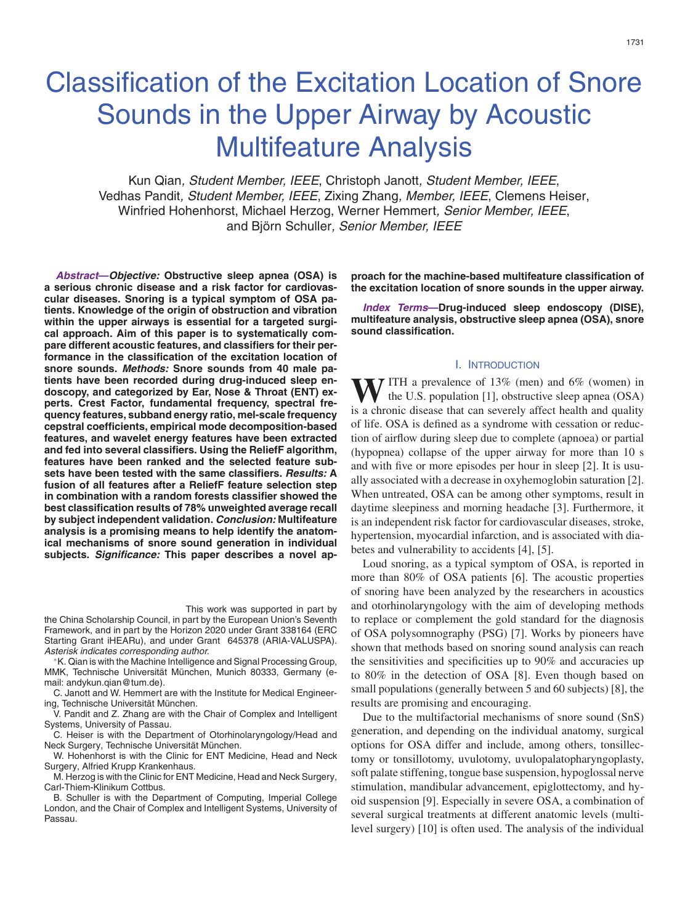# Classification of the Excitation Location of Snore Sounds in the Upper Airway by Acoustic Multifeature Analysis

Kun Qian*, Student Member, IEEE*, Christoph Janott*, Student Member, IEEE*, Vedhas Pandit*, Student Member, IEEE*, Zixing Zhang*, Member, IEEE*, Clemens Heiser, Winfried Hohenhorst, Michael Herzog, Werner Hemmert*, Senior Member, IEEE*, and Bjo¨rn Schuller*, Senior Member, IEEE*

*Abstract***—***Objective:* **Obstructive sleep apnea (OSA) is a serious chronic disease and a risk factor for cardiovascular diseases. Snoring is a typical symptom of OSA patients. Knowledge of the origin of obstruction and vibration within the upper airways is essential for a targeted surgical approach. Aim of this paper is to systematically compare different acoustic features, and classifiers for their performance in the classification of the excitation location of snore sounds.** *Methods:* **Snore sounds from 40 male patients have been recorded during drug-induced sleep endoscopy, and categorized by Ear, Nose & Throat (ENT) experts. Crest Factor, fundamental frequency, spectral frequency features, subband energy ratio, mel-scale frequency cepstral coefficients, empirical mode decomposition-based features, and wavelet energy features have been extracted and fed into several classifiers. Using the ReliefF algorithm, features have been ranked and the selected feature subsets have been tested with the same classifiers.** *Results:* **A fusion of all features after a ReliefF feature selection step in combination with a random forests classifier showed the best classification results of 78% unweighted average recall by subject independent validation.** *Conclusion:* **Multifeature analysis is a promising means to help identify the anatomical mechanisms of snore sound generation in individual subjects.** *Significance:* **This paper describes a novel ap-**

This work was supported in part by

the China Scholarship Council, in part by the European Union's Seventh Framework, and in part by the Horizon 2020 under Grant 338164 (ERC Starting Grant iHEARu), and under Grant 645378 (ARIA-VALUSPA). *Asterisk indicates corresponding author.*

∗K. Qian is with the Machine Intelligence and Signal Processing Group, MMK, Technische Universität München, Munich 80333, Germany (email: andykun.qian@tum.de).

C. Janott and W. Hemmert are with the Institute for Medical Engineering, Technische Universität München.

V. Pandit and Z. Zhang are with the Chair of Complex and Intelligent Systems, University of Passau.

C. Heiser is with the Department of Otorhinolaryngology/Head and Neck Surgery, Technische Universität München.

W. Hohenhorst is with the Clinic for ENT Medicine, Head and Neck Surgery, Alfried Krupp Krankenhaus.

M. Herzog is with the Clinic for ENT Medicine, Head and Neck Surgery, Carl-Thiem-Klinikum Cottbus.

B. Schuller is with the Department of Computing, Imperial College London, and the Chair of Complex and Intelligent Systems, University of Passau.

**proach for the machine-based multifeature classification of the excitation location of snore sounds in the upper airway.**

*Index Terms***—Drug-induced sleep endoscopy (DISE), multifeature analysis, obstructive sleep apnea (OSA), snore sound classification.**

### I. INTRODUCTION

**W**ITH a prevalence of 13% (men) and 6% (women) in the U.S. population [1], obstructive sleep apnea  $(OSA)$ is a chronic disease that can severely affect health and quality of life. OSA is defined as a syndrome with cessation or reduction of airflow during sleep due to complete (apnoea) or partial (hypopnea) collapse of the upper airway for more than 10 s and with five or more episodes per hour in sleep [2]. It is usually associated with a decrease in oxyhemoglobin saturation [2]. When untreated, OSA can be among other symptoms, result in daytime sleepiness and morning headache [3]. Furthermore, it is an independent risk factor for cardiovascular diseases, stroke, hypertension, myocardial infarction, and is associated with diabetes and vulnerability to accidents [4], [5].

Loud snoring, as a typical symptom of OSA, is reported in more than 80% of OSA patients [6]. The acoustic properties of snoring have been analyzed by the researchers in acoustics and otorhinolaryngology with the aim of developing methods to replace or complement the gold standard for the diagnosis of OSA polysomnography (PSG) [7]. Works by pioneers have shown that methods based on snoring sound analysis can reach the sensitivities and specificities up to 90% and accuracies up to 80% in the detection of OSA [8]. Even though based on small populations (generally between 5 and 60 subjects) [8], the results are promising and encouraging.

Due to the multifactorial mechanisms of snore sound (SnS) generation, and depending on the individual anatomy, surgical options for OSA differ and include, among others, tonsillectomy or tonsillotomy, uvulotomy, uvulopalatopharyngoplasty, soft palate stiffening, tongue base suspension, hypoglossal nerve stimulation, mandibular advancement, epiglottectomy, and hyoid suspension [9]. Especially in severe OSA, a combination of several surgical treatments at different anatomic levels (multilevel surgery) [10] is often used. The analysis of the individual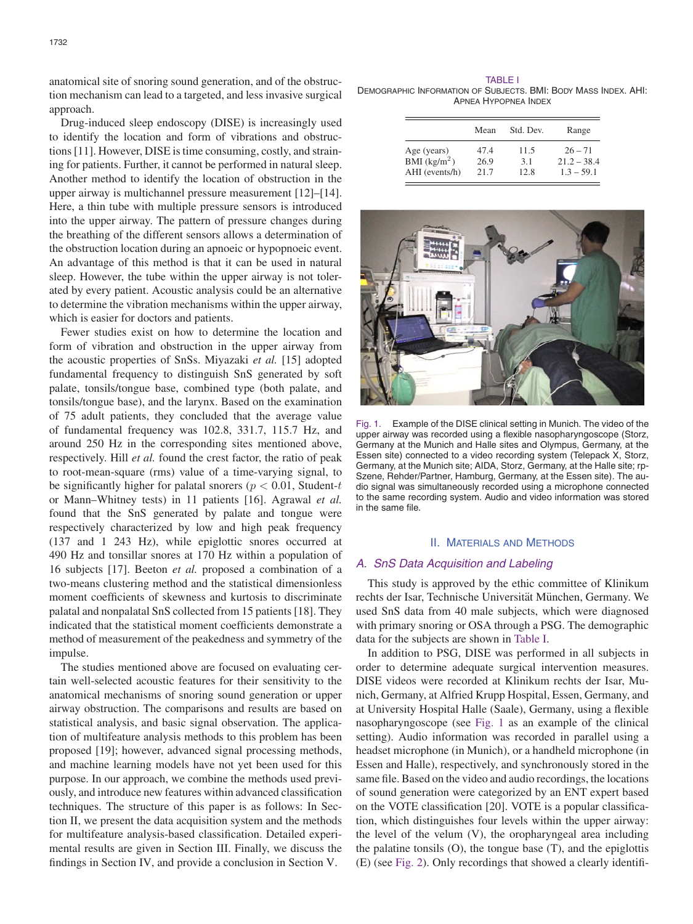anatomical site of snoring sound generation, and of the obstruction mechanism can lead to a targeted, and less invasive surgical approach.

Drug-induced sleep endoscopy (DISE) is increasingly used to identify the location and form of vibrations and obstructions[11]. However, DISE istime consuming, costly, and straining for patients. Further, it cannot be performed in natural sleep. Another method to identify the location of obstruction in the upper airway is multichannel pressure measurement [12]–[14]. Here, a thin tube with multiple pressure sensors is introduced into the upper airway. The pattern of pressure changes during the breathing of the different sensors allows a determination of the obstruction location during an apnoeic or hypopnoeic event. An advantage of this method is that it can be used in natural sleep. However, the tube within the upper airway is not tolerated by every patient. Acoustic analysis could be an alternative to determine the vibration mechanisms within the upper airway, which is easier for doctors and patients.

Fewer studies exist on how to determine the location and form of vibration and obstruction in the upper airway from the acoustic properties of SnSs. Miyazaki *et al.* [15] adopted fundamental frequency to distinguish SnS generated by soft palate, tonsils/tongue base, combined type (both palate, and tonsils/tongue base), and the larynx. Based on the examination of 75 adult patients, they concluded that the average value of fundamental frequency was 102.8, 331.7, 115.7 Hz, and around 250 Hz in the corresponding sites mentioned above, respectively. Hill *et al.* found the crest factor, the ratio of peak to root-mean-square (rms) value of a time-varying signal, to be significantly higher for palatal snorers ( $p < 0.01$ , Student-t or Mann–Whitney tests) in 11 patients [16]. Agrawal *et al.* found that the SnS generated by palate and tongue were respectively characterized by low and high peak frequency (137 and 1 243 Hz), while epiglottic snores occurred at 490 Hz and tonsillar snores at 170 Hz within a population of 16 subjects [17]. Beeton *et al.* proposed a combination of a two-means clustering method and the statistical dimensionless moment coefficients of skewness and kurtosis to discriminate palatal and nonpalatal SnS collected from 15 patients[18]. They indicated that the statistical moment coefficients demonstrate a method of measurement of the peakedness and symmetry of the impulse.

The studies mentioned above are focused on evaluating certain well-selected acoustic features for their sensitivity to the anatomical mechanisms of snoring sound generation or upper airway obstruction. The comparisons and results are based on statistical analysis, and basic signal observation. The application of multifeature analysis methods to this problem has been proposed [19]; however, advanced signal processing methods, and machine learning models have not yet been used for this purpose. In our approach, we combine the methods used previously, and introduce new features within advanced classification techniques. The structure of this paper is as follows: In Section II, we present the data acquisition system and the methods for multifeature analysis-based classification. Detailed experimental results are given in Section III. Finally, we discuss the findings in Section IV, and provide a conclusion in Section V.

TABLE I DEMOGRAPHIC INFORMATION OF SUBJECTS. BMI: BODY MASS INDEX. AHI: APNEA HYPOPNEA INDEX

|                                              | Mean | Std. Dev. | Range         |
|----------------------------------------------|------|-----------|---------------|
| Age (years)                                  | 474  | 11.5      | $26 - 71$     |
| $\overline{\text{BMI}}$ (kg/m <sup>2</sup> ) | 26.9 | 3.1       | $21.2 - 38.4$ |
| AHI (events/h)                               | 21.7 | 12.8      | $1.3 - 59.1$  |



Fig. 1. Example of the DISE clinical setting in Munich. The video of the upper airway was recorded using a flexible nasopharyngoscope (Storz, Germany at the Munich and Halle sites and Olympus, Germany, at the Essen site) connected to a video recording system (Telepack X, Storz, Germany, at the Munich site; AIDA, Storz, Germany, at the Halle site; rp-Szene, Rehder/Partner, Hamburg, Germany, at the Essen site). The audio signal was simultaneously recorded using a microphone connected to the same recording system. Audio and video information was stored in the same file.

### II. MATERIALS AND METHODS

# *A. SnS Data Acquisition and Labeling*

This study is approved by the ethic committee of Klinikum rechts der Isar, Technische Universität München, Germany. We used SnS data from 40 male subjects, which were diagnosed with primary snoring or OSA through a PSG. The demographic data for the subjects are shown in Table I.

In addition to PSG, DISE was performed in all subjects in order to determine adequate surgical intervention measures. DISE videos were recorded at Klinikum rechts der Isar, Munich, Germany, at Alfried Krupp Hospital, Essen, Germany, and at University Hospital Halle (Saale), Germany, using a flexible nasopharyngoscope (see Fig. 1 as an example of the clinical setting). Audio information was recorded in parallel using a headset microphone (in Munich), or a handheld microphone (in Essen and Halle), respectively, and synchronously stored in the same file. Based on the video and audio recordings, the locations of sound generation were categorized by an ENT expert based on the VOTE classification [20]. VOTE is a popular classification, which distinguishes four levels within the upper airway: the level of the velum (V), the oropharyngeal area including the palatine tonsils (O), the tongue base (T), and the epiglottis (E) (see Fig. 2). Only recordings that showed a clearly identifi-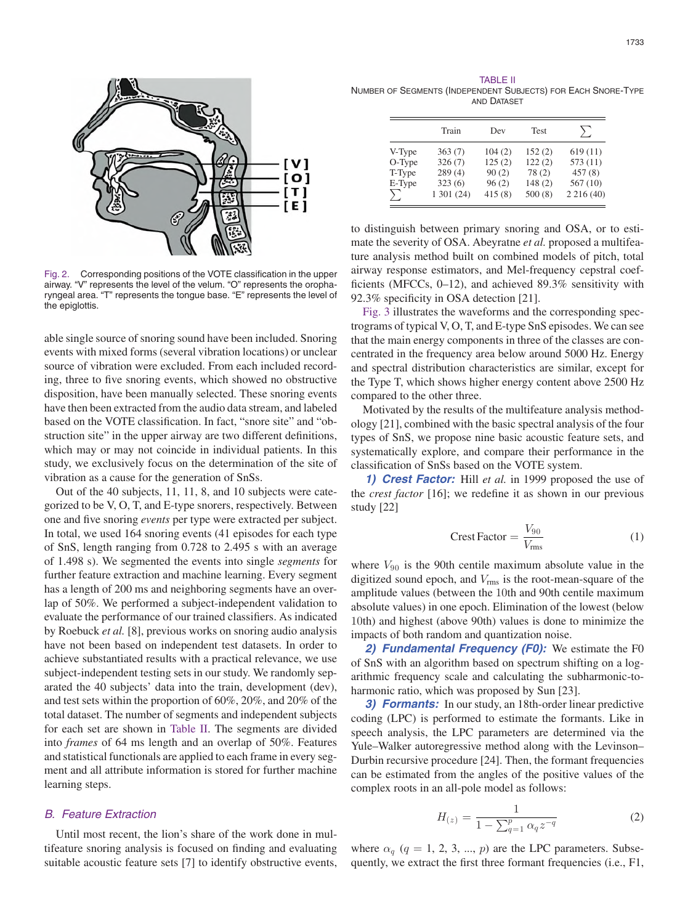

Fig. 2. Corresponding positions of the VOTE classification in the upper airway. "V" represents the level of the velum. "O" represents the oropharyngeal area. "T" represents the tongue base. "E" represents the level of the epiglottis.

able single source of snoring sound have been included. Snoring events with mixed forms (several vibration locations) or unclear source of vibration were excluded. From each included recording, three to five snoring events, which showed no obstructive disposition, have been manually selected. These snoring events have then been extracted from the audio data stream, and labeled based on the VOTE classification. In fact, "snore site" and "obstruction site" in the upper airway are two different definitions, which may or may not coincide in individual patients. In this study, we exclusively focus on the determination of the site of vibration as a cause for the generation of SnSs.

Out of the 40 subjects, 11, 11, 8, and 10 subjects were categorized to be V, O, T, and E-type snorers, respectively. Between one and five snoring *events* per type were extracted per subject. In total, we used 164 snoring events (41 episodes for each type of SnS, length ranging from 0.728 to 2.495 s with an average of 1.498 s). We segmented the events into single *segments* for further feature extraction and machine learning. Every segment has a length of 200 ms and neighboring segments have an overlap of 50%. We performed a subject-independent validation to evaluate the performance of our trained classifiers. As indicated by Roebuck *et al.* [8], previous works on snoring audio analysis have not been based on independent test datasets. In order to achieve substantiated results with a practical relevance, we use subject-independent testing sets in our study. We randomly separated the 40 subjects' data into the train, development (dev), and test sets within the proportion of 60%, 20%, and 20% of the total dataset. The number of segments and independent subjects for each set are shown in Table II. The segments are divided into *frames* of 64 ms length and an overlap of 50%. Features and statistical functionals are applied to each frame in every segment and all attribute information is stored for further machine learning steps.

# *B. Feature Extraction*

Until most recent, the lion's share of the work done in multifeature snoring analysis is focused on finding and evaluating suitable acoustic feature sets [7] to identify obstructive events,

TABLE II NUMBER OF SEGMENTS (INDEPENDENT SUBJECTS) FOR EACH SNORE-TYPE AND DATASET

|        | Train      | Dev    | <b>Test</b> | $\sum$   |  |
|--------|------------|--------|-------------|----------|--|
| V-Type | 363(7)     | 104(2) | 152(2)      | 619(11)  |  |
| O-Type | 326(7)     | 125(2) | 122(2)      | 573 (11) |  |
| T-Type | 289(4)     | 90(2)  | 78(2)       | 457(8)   |  |
| E-Type | 323(6)     | 96(2)  | 148(2)      | 567(10)  |  |
| $\sum$ | 1 301 (24) | 415(8) | 500(8)      | 2216(40) |  |

to distinguish between primary snoring and OSA, or to estimate the severity of OSA. Abeyratne *et al.* proposed a multifeature analysis method built on combined models of pitch, total airway response estimators, and Mel-frequency cepstral coefficients (MFCCs, 0–12), and achieved 89.3% sensitivity with 92.3% specificity in OSA detection [21].

Fig. 3 illustrates the waveforms and the corresponding spectrograms of typical V, O, T, and E-type SnS episodes. We can see that the main energy components in three of the classes are concentrated in the frequency area below around 5000 Hz. Energy and spectral distribution characteristics are similar, except for the Type T, which shows higher energy content above 2500 Hz compared to the other three.

Motivated by the results of the multifeature analysis methodology [21], combined with the basic spectral analysis of the four types of SnS, we propose nine basic acoustic feature sets, and systematically explore, and compare their performance in the classification of SnSs based on the VOTE system.

*1) Crest Factor:* Hill *et al.* in 1999 proposed the use of the *crest factor* [16]; we redefine it as shown in our previous study [22]

$$
Crest Factor = \frac{V_{90}}{V_{\text{rms}}}
$$
 (1)

where  $V_{90}$  is the 90th centile maximum absolute value in the digitized sound epoch, and  $V_{\text{rms}}$  is the root-mean-square of the amplitude values (between the 10th and 90th centile maximum absolute values) in one epoch. Elimination of the lowest (below 10th) and highest (above 90th) values is done to minimize the impacts of both random and quantization noise.

*2) Fundamental Frequency (F0):* We estimate the F0 of SnS with an algorithm based on spectrum shifting on a logarithmic frequency scale and calculating the subharmonic-toharmonic ratio, which was proposed by Sun [23].

*3) Formants:* In our study, an 18th-order linear predictive coding (LPC) is performed to estimate the formants. Like in speech analysis, the LPC parameters are determined via the Yule–Walker autoregressive method along with the Levinson– Durbin recursive procedure [24]. Then, the formant frequencies can be estimated from the angles of the positive values of the complex roots in an all-pole model as follows:

$$
H_{(z)} = \frac{1}{1 - \sum_{q=1}^{p} \alpha_q z^{-q}}
$$
 (2)

where  $\alpha_q$  ( $q = 1, 2, 3, ..., p$ ) are the LPC parameters. Subsequently, we extract the first three formant frequencies (i.e., F1,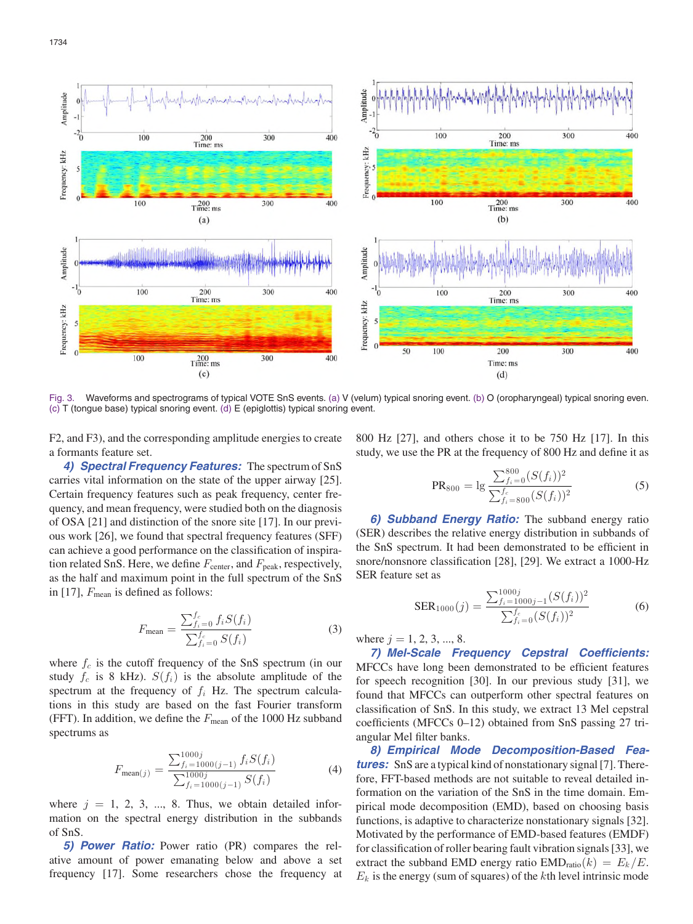



Fig. 3. Waveforms and spectrograms of typical VOTE SnS events. (a) V (velum) typical snoring event. (b) O (oropharyngeal) typical snoring even. (c) T (tongue base) typical snoring event. (d) E (epiglottis) typical snoring event.

F2, and F3), and the corresponding amplitude energies to create a formants feature set.

*4) Spectral Frequency Features:* The spectrum of SnS carries vital information on the state of the upper airway [25]. Certain frequency features such as peak frequency, center frequency, and mean frequency, were studied both on the diagnosis of OSA [21] and distinction of the snore site [17]. In our previous work [26], we found that spectral frequency features (SFF) can achieve a good performance on the classification of inspiration related SnS. Here, we define  $F_{\text{center}}$ , and  $F_{\text{peak}}$ , respectively, as the half and maximum point in the full spectrum of the SnS in [17],  $F_{\text{mean}}$  is defined as follows:

$$
F_{\text{mean}} = \frac{\sum_{f_i=0}^{f_c} f_i S(f_i)}{\sum_{f_i=0}^{f_c} S(f_i)}
$$
(3)

where  $f_c$  is the cutoff frequency of the SnS spectrum (in our study  $f_c$  is 8 kHz).  $S(f_i)$  is the absolute amplitude of the spectrum at the frequency of  $f_i$  Hz. The spectrum calculations in this study are based on the fast Fourier transform (FFT). In addition, we define the  $F_{\text{mean}}$  of the 1000 Hz subband spectrums as

$$
F_{\text{mean}(j)} = \frac{\sum_{f_i=1000(j-1)}^{1000j} f_i S(f_i)}{\sum_{f_i=1000(j-1)}^{1000j} S(f_i)}
$$
(4)

where  $j = 1, 2, 3, \dots, 8$ . Thus, we obtain detailed information on the spectral energy distribution in the subbands of SnS.

*5) Power Ratio:* Power ratio (PR) compares the relative amount of power emanating below and above a set frequency [17]. Some researchers chose the frequency at 800 Hz [27], and others chose it to be 750 Hz [17]. In this study, we use the PR at the frequency of 800 Hz and define it as

$$
PR_{800} = \lg \frac{\sum_{f_i=0}^{800} (S(f_i))^2}{\sum_{f_i=800}^{f_c} (S(f_i))^2}
$$
(5)

*6) Subband Energy Ratio:* The subband energy ratio (SER) describes the relative energy distribution in subbands of the SnS spectrum. It had been demonstrated to be efficient in snore/nonsnore classification [28], [29]. We extract a 1000-Hz SER feature set as

$$
SER_{1000}(j) = \frac{\sum_{f_i=1000j-1}^{1000j}(S(f_i))^2}{\sum_{f_i=0}^{f_c}(S(f_i))^2}
$$
(6)

where  $j = 1, 2, 3, ..., 8$ .

*7) Mel-Scale Frequency Cepstral Coefficients:* MFCCs have long been demonstrated to be efficient features for speech recognition [30]. In our previous study [31], we found that MFCCs can outperform other spectral features on classification of SnS. In this study, we extract 13 Mel cepstral coefficients (MFCCs 0–12) obtained from SnS passing 27 triangular Mel filter banks.

*8) Empirical Mode Decomposition-Based Fea***tures:** SnS are a typical kind of nonstationary signal [7]. Therefore, FFT-based methods are not suitable to reveal detailed information on the variation of the SnS in the time domain. Empirical mode decomposition (EMD), based on choosing basis functions, is adaptive to characterize nonstationary signals [32]. Motivated by the performance of EMD-based features (EMDF) for classification of roller bearing fault vibration signals[33], we extract the subband EMD energy ratio  $\text{EMD}_{\text{ratio}}(k) = E_k/E$ .  $E<sub>k</sub>$  is the energy (sum of squares) of the kth level intrinsic mode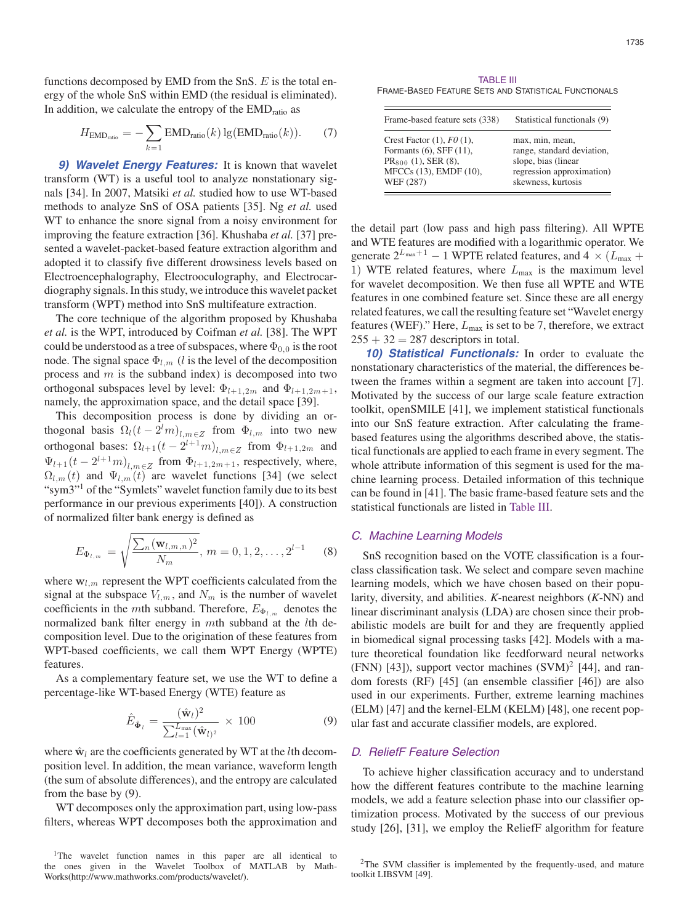functions decomposed by EMD from the SnS.  $E$  is the total energy of the whole SnS within EMD (the residual is eliminated). In addition, we calculate the entropy of the EMD<sub>ratio</sub> as

$$
H_{\text{EMD}_{\text{ratio}}} = -\sum_{k=1} \text{EMD}_{\text{ratio}}(k) \lg(\text{EMD}_{\text{ratio}}(k)). \tag{7}
$$

*9) Wavelet Energy Features:* It is known that wavelet transform (WT) is a useful tool to analyze nonstationary signals [34]. In 2007, Matsiki *et al.* studied how to use WT-based methods to analyze SnS of OSA patients [35]. Ng *et al.* used WT to enhance the snore signal from a noisy environment for improving the feature extraction [36]. Khushaba *et al.* [37] presented a wavelet-packet-based feature extraction algorithm and adopted it to classify five different drowsiness levels based on Electroencephalography, Electrooculography, and Electrocardiography signals.In thisstudy, we introduce this wavelet packet transform (WPT) method into SnS multifeature extraction.

The core technique of the algorithm proposed by Khushaba *et al.* is the WPT, introduced by Coifman *et al.* [38]. The WPT could be understood as a tree of subspaces, where  $\Phi_{0,0}$  is the root node. The signal space  $\Phi_{l,m}$  (l is the level of the decomposition process and  $m$  is the subband index) is decomposed into two orthogonal subspaces level by level:  $\Phi_{l+1,2m}$  and  $\Phi_{l+1,2m+1}$ , namely, the approximation space, and the detail space [39].

This decomposition process is done by dividing an orthogonal basis  $\Omega_l(t - 2^l m)_{l,m \in \mathbb{Z}}$  from  $\Phi_{l,m}$  into two new orthogonal bases:  $\Omega_{l+1}(t-2^{l+1}m)_{l,m\in\mathbb{Z}}$  from  $\Phi_{l+1,2m}$  and  $\Psi_{l+1}(t-2^{l+1}m)_{l,m\in\mathbb{Z}}$  from  $\Phi_{l+1,2m+1}$ , respectively, where,<br>O. (t) and  $\Psi_{l}$ , (t) are wavelet functions [34] (we select  $\Omega_{l,m}(t)$  and  $\Psi_{l,m}(t)$  are wavelet functions [34] (we select "symbology" of the "Symbots" wavelet function family due to its best "sym3"<sup>1</sup> of the "Symlets" wavelet function family due to its best performance in our previous experiments [40]). A construction of normalized filter bank energy is defined as

$$
E_{\Phi_{l,m}} = \sqrt{\frac{\sum_{n} (\mathbf{w}_{l,m,n})^2}{N_m}}, \, m = 0, 1, 2, \dots, 2^{l-1}
$$
 (8)

where  $w_{l,m}$  represent the WPT coefficients calculated from the signal at the subspace  $V_{l,m}$ , and  $N_m$  is the number of wavelet coefficients in the *mth* subband. Therefore,  $E_{\Phi_{l,m}}$  denotes the normalized bonk filter approximate on which only the line normalized bank filter energy in mth subband at the *lth* decomposition level. Due to the origination of these features from WPT-based coefficients, we call them WPT Energy (WPTE) features.

As a complementary feature set, we use the WT to define a percentage-like WT-based Energy (WTE) feature as

$$
\hat{E}_{\hat{\Phi}_l} = \frac{(\hat{\mathbf{w}}_l)^2}{\sum_{l=1}^{L_{\text{max}}} (\hat{\mathbf{w}}_{l)^2}} \times 100 \tag{9}
$$

where  $\hat{\mathbf{w}}_l$  are the coefficients generated by WT at the *l*th decomposition level. In addition, the mean variance, waveform length (the sum of absolute differences), and the entropy are calculated from the base by (9).

WT decomposes only the approximation part, using low-pass filters, whereas WPT decomposes both the approximation and

TABLE III FRAME-BASED FEATURE SETS AND STATISTICAL FUNCTIONALS

| Frame-based feature sets (338) | Statistical functionals (9) |
|--------------------------------|-----------------------------|
| Crest Factor $(1)$ , $F0(1)$ , | max, min, mean,             |
| Formants $(6)$ , SFF $(11)$ ,  | range, standard deviation,  |
| $PR_{800}$ (1), SER (8),       | slope, bias (linear         |
| MFCCs (13), EMDF (10),         | regression approximation)   |
| WEF (287)                      | skewness, kurtosis          |

the detail part (low pass and high pass filtering). All WPTE and WTE features are modified with a logarithmic operator. We generate  $2^{L_{\text{max}}+1} - 1$  WPTE related features, and  $4 \times (L_{\text{max}} + 1)$  WTE related features, where L is the maximum level 1) WTE related features, where  $L_{\text{max}}$  is the maximum level for wavelet decomposition. We then fuse all WPTE and WTE features in one combined feature set. Since these are all energy related features, we call the resulting feature set "Wavelet energy features (WEF)." Here,  $L_{\text{max}}$  is set to be 7, therefore, we extract  $255 + 32 = 287$  descriptors in total.

*10) Statistical Functionals:* In order to evaluate the nonstationary characteristics of the material, the differences between the frames within a segment are taken into account [7]. Motivated by the success of our large scale feature extraction toolkit, openSMILE [41], we implement statistical functionals into our SnS feature extraction. After calculating the framebased features using the algorithms described above, the statistical functionals are applied to each frame in every segment. The whole attribute information of this segment is used for the machine learning process. Detailed information of this technique can be found in [41]. The basic frame-based feature sets and the statistical functionals are listed in Table III.

#### *C. Machine Learning Models*

SnS recognition based on the VOTE classification is a fourclass classification task. We select and compare seven machine learning models, which we have chosen based on their popularity, diversity, and abilities. *K*-nearest neighbors (*K*-NN) and linear discriminant analysis (LDA) are chosen since their probabilistic models are built for and they are frequently applied in biomedical signal processing tasks [42]. Models with a mature theoretical foundation like feedforward neural networks (FNN) [43]), support vector machines (SVM) 2 [44], and random forests (RF) [45] (an ensemble classifier [46]) are also used in our experiments. Further, extreme learning machines (ELM) [47] and the kernel-ELM (KELM) [48], one recent popular fast and accurate classifier models, are explored.

# *D. ReliefF Feature Selection*

To achieve higher classification accuracy and to understand how the different features contribute to the machine learning models, we add a feature selection phase into our classifier optimization process. Motivated by the success of our previous study [26], [31], we employ the ReliefF algorithm for feature

<sup>&</sup>lt;sup>1</sup>The wavelet function names in this paper are all identical to the ones given in the Wavelet Toolbox of MATLAB by Math-Works(http://www.mathworks.com/products/wavelet/).

<sup>&</sup>lt;sup>2</sup>The SVM classifier is implemented by the frequently-used, and mature toolkit LIBSVM [49].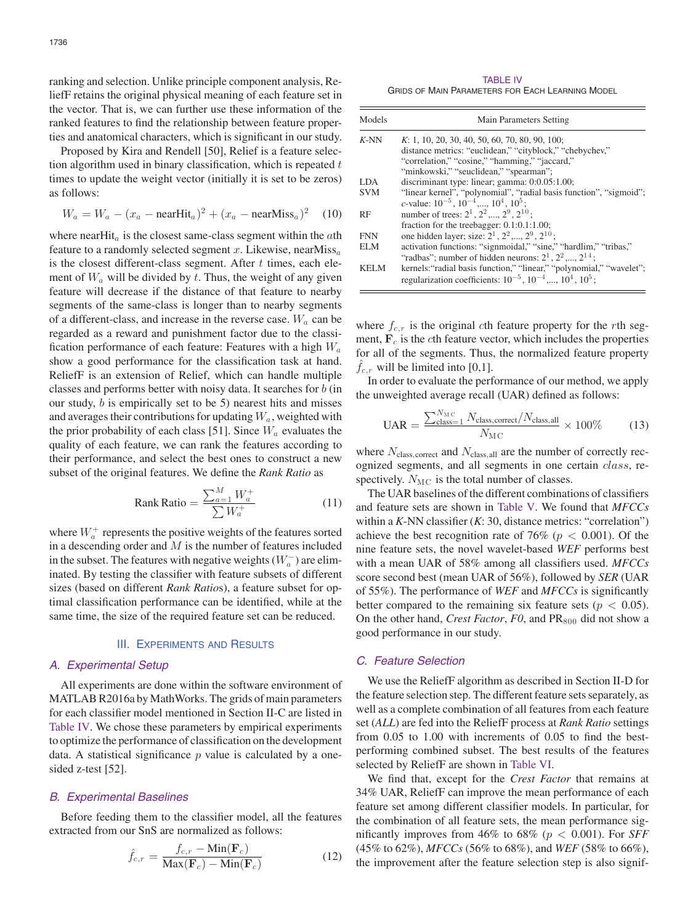ranking and selection. Unlike principle component analysis, ReliefF retains the original physical meaning of each feature set in the vector. That is, we can further use these information of the ranked features to find the relationship between feature properties and anatomical characters, which is significant in our study.

Proposed by Kira and Rendell [50], Relief is a feature selection algorithm used in binary classification, which is repeated  $t$ times to update the weight vector (initially it is set to be zeros) as follows:

$$
W_a = W_a - (x_a - \text{nearHit}_a)^2 + (x_a - \text{nearMiss}_a)^2 \quad (10)
$$

where nearHit<sub>a</sub> is the closest same-class segment within the  $a$ th feature to a randomly selected segment  $x$ . Likewise, nearMiss<sub>a</sub> is the closest different-class segment. After  $t$  times, each element of  $W_a$  will be divided by  $t$ . Thus, the weight of any given feature will decrease if the distance of that feature to nearby segments of the same-class is longer than to nearby segments of a different-class, and increase in the reverse case.  $W_a$  can be regarded as a reward and punishment factor due to the classification performance of each feature: Features with a high  $W_a$ show a good performance for the classification task at hand. ReliefF is an extension of Relief, which can handle multiple classes and performs better with noisy data. It searches for b (in our study, b is empirically set to be 5) nearest hits and misses and averages their contributions for updating  $W_a$ , weighted with the prior probability of each class [51]. Since  $W_a$  evaluates the quality of each feature, we can rank the features according to their performance, and select the best ones to construct a new subset of the original features. We define the *Rank Ratio* as

$$
Rank Ratio = \frac{\sum_{a=1}^{M} W_a^+}{\sum W_a^+}
$$
 (11)

where  $W_a^+$  represents the positive weights of the features sorted in a descending order and  $M$  is the number of features included in the subset. The features with negative weights ( $W_a^-$ ) are eliminated. By testing the classifier with feature subsets of different sizes (based on different *Rank Ratio*s), a feature subset for optimal classification performance can be identified, while at the same time, the size of the required feature set can be reduced.

### III. EXPERIMENTS AND RESULTS

# *A. Experimental Setup*

All experiments are done within the software environment of MATLAB R2016a by MathWorks. The grids of main parameters for each classifier model mentioned in Section II-C are listed in Table IV. We chose these parameters by empirical experiments to optimize the performance of classification on the development data. A statistical significance  $p$  value is calculated by a onesided z-test [52].

#### *B. Experimental Baselines*

Before feeding them to the classifier model, all the features extracted from our SnS are normalized as follows:

$$
\hat{f}_{c,r} = \frac{f_{c,r} - \text{Min}(\mathbf{F}_c)}{\text{Max}(\mathbf{F}_c) - \text{Min}(\mathbf{F}_c)}
$$
(12)

TABLE IV GRIDS OF MAIN PARAMETERS FOR EACH LEARNING MODEL

| Models     | Main Parameters Setting                                                                                                                             |
|------------|-----------------------------------------------------------------------------------------------------------------------------------------------------|
| $K-NN$     | K: 1, 10, 20, 30, 40, 50, 60, 70, 80, 90, 100;                                                                                                      |
|            | distance metrics: "euclidean," "cityblock," "chebychev,"                                                                                            |
|            | "correlation," "cosine," "hamming," "jaccard,"                                                                                                      |
|            | "minkowski," "seuclidean," "spearman";                                                                                                              |
| LDA.       | discriminant type: linear; gamma: 0:0.05:1.00;                                                                                                      |
| <b>SVM</b> | "linear kernel", "polynomial", "radial basis function", "sigmoid";                                                                                  |
|            | c-value: $10^{-5}$ , $10^{-4}$ , $10^{4}$ , $10^{5}$ ;                                                                                              |
| RF         | number of trees: $2^1$ , $2^2$ , $2^9$ , $2^{10}$ .                                                                                                 |
|            | fraction for the treebagger: $0.1:0.1:1.00$ ;                                                                                                       |
| <b>FNN</b> | one hidden layer; size: $2^1$ , $2^2$ ,, $2^9$ , $2^{10}$ ;                                                                                         |
| ELM        | activation functions: "signmoidal," "sine," "hardlim," "tribas,"                                                                                    |
|            | "radbas"; number of hidden neurons: $2^1$ , $2^2$ ,, $2^{14}$ ;                                                                                     |
| KELM       | kernels: "radial basis function," "linear," "polynomial," "wavelet";<br>regularization coefficients: $10^{-5}$ , $10^{-4}$ ,, $10^{4}$ , $10^{5}$ ; |

where  $f_{c,r}$  is the original cth feature property for the rth segment,  $\mathbf{F}_c$  is the cth feature vector, which includes the properties for all of the segments. Thus, the normalized feature property  $f_{c,r}$  will be limited into [0,1].

In order to evaluate the performance of our method, we apply the unweighted average recall (UAR) defined as follows:

$$
UAR = \frac{\sum_{\text{class}=1}^{N_{\text{MC}}} N_{\text{class,correct}}/N_{\text{class,all}}}{N_{\text{MC}}} \times 100\% \tag{13}
$$

where  $N_{\text{class, correct}}$  and  $N_{\text{class, all}}$  are the number of correctly recognized segments, and all segments in one certain class, respectively.  $N_{\text{MC}}$  is the total number of classes.

The UAR baselines of the different combinations of classifiers and feature sets are shown in Table V. We found that *MFCCs* within a *K*-NN classifier (*K*: 30, distance metrics: "correlation") achieve the best recognition rate of 76% ( $p < 0.001$ ). Of the nine feature sets, the novel wavelet-based *WEF* performs best with a mean UAR of 58% among all classifiers used. *MFCCs* score second best (mean UAR of 56%), followed by *SER* (UAR of 55%). The performance of *WEF* and *MFCCs* is significantly better compared to the remaining six feature sets ( $p < 0.05$ ). On the other hand, *Crest Factor*, *F0*, and  $PR_{800}$  did not show a good performance in our study.

# *C. Feature Selection*

We use the ReliefF algorithm as described in Section II-D for the feature selection step. The different feature sets separately, as well as a complete combination of all features from each feature set (*ALL*) are fed into the ReliefF process at *Rank Ratio* settings from 0.05 to 1.00 with increments of 0.05 to find the bestperforming combined subset. The best results of the features selected by ReliefF are shown in Table VI.

We find that, except for the *Crest Factor* that remains at 34% UAR, ReliefF can improve the mean performance of each feature set among different classifier models. In particular, for the combination of all feature sets, the mean performance significantly improves from 46% to 68% (p < 0.001). For *SFF* (45% to 62%), *MFCCs* (56% to 68%), and *WEF* (58% to 66%), the improvement after the feature selection step is also signif-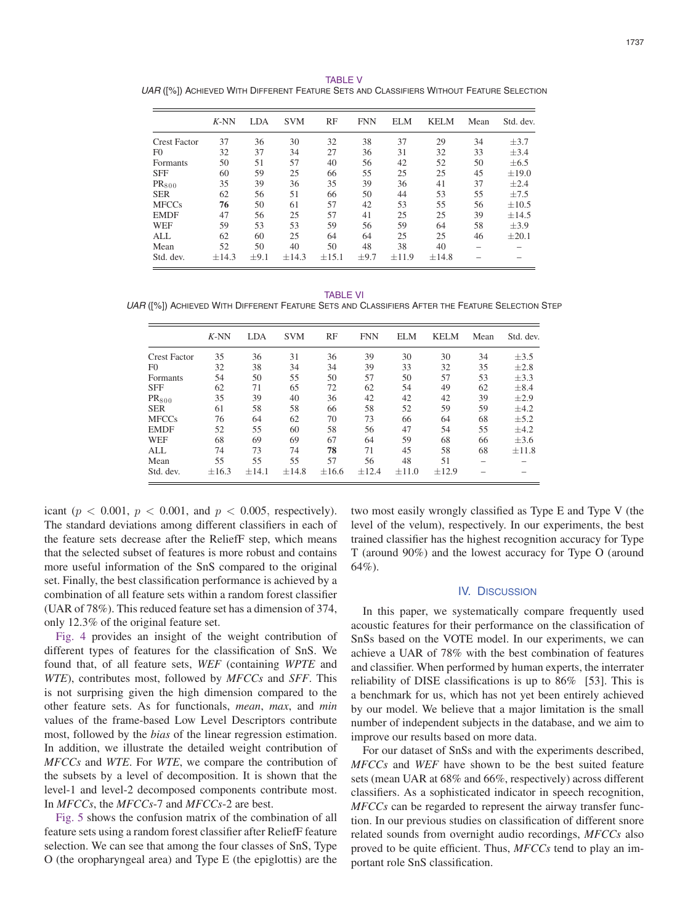TABLE V *UAR* ([%]) ACHIEVED WITH DIFFERENT FEATURE SETS AND CLASSIFIERS WITHOUT FEATURE SELECTION

|                     | $K-NN$     | LDA       | <b>SVM</b> | RF         | <b>FNN</b> | ELM        | <b>KELM</b> | Mean | Std. dev.  |
|---------------------|------------|-----------|------------|------------|------------|------------|-------------|------|------------|
| <b>Crest Factor</b> | 37         | 36        | 30         | 32         | 38         | 37         | 29          | 34   | $\pm$ 3.7  |
| F <sub>0</sub>      | 32         | 37        | 34         | 27         | 36         | 31         | 32          | 33   | $\pm$ 3.4  |
| Formants            | 50         | 51        | 57         | 40         | 56         | 42         | 52          | 50   | $\pm 6.5$  |
| <b>SFF</b>          | 60         | 59        | 25         | 66         | 55         | 25         | 25          | 45   | $\pm 19.0$ |
| PR <sub>800</sub>   | 35         | 39        | 36         | 35         | 39         | 36         | 41          | 37   | $\pm 2.4$  |
| <b>SER</b>          | 62         | 56        | 51         | 66         | 50         | 44         | 53          | 55   | $+7.5$     |
| <b>MFCCs</b>        | 76         | 50        | 61         | 57         | 42         | 53         | 55          | 56   | $\pm 10.5$ |
| <b>EMDF</b>         | 47         | 56        | 25         | 57         | 41         | 25         | 25          | 39   | $+14.5$    |
| <b>WEF</b>          | 59         | 53        | 53         | 59         | 56         | 59         | 64          | 58   | $\pm$ 3.9  |
| ALL                 | 62         | 60        | 25         | 64         | 64         | 25         | 25          | 46   | $+20.1$    |
| Mean                | 52         | 50        | 40         | 50         | 48         | 38         | 40          |      |            |
| Std. dev.           | $\pm$ 14.3 | $\pm 9.1$ | ±14.3      | $\pm 15.1$ | $\pm$ 9.7  | $\pm$ 11.9 | $\pm 14.8$  |      |            |

TABLE VI

*UAR* ([%]) ACHIEVED WITH DIFFERENT FEATURE SETS AND CLASSIFIERS AFTER THE FEATURE SELECTION STEP

|                     | $K-NN$     | <b>LDA</b> | <b>SVM</b> | RF         | <b>FNN</b> | <b>ELM</b> | KELM       | Mean | Std. dev. |
|---------------------|------------|------------|------------|------------|------------|------------|------------|------|-----------|
| <b>Crest Factor</b> | 35         | 36         | 31         | 36         | 39         | 30         | 30         | 34   | $\pm$ 3.5 |
| F <sub>0</sub>      | 32         | 38         | 34         | 34         | 39         | 33         | 32         | 35   | $\pm 2.8$ |
| <b>Formants</b>     | 54         | 50         | 55         | 50         | 57         | 50         | 57         | 53   | $\pm$ 3.3 |
| <b>SFF</b>          | 62         | 71         | 65         | 72         | 62         | 54         | 49         | 62   | $\pm 8.4$ |
| $PR_{800}$          | 35         | 39         | 40         | 36         | 42         | 42         | 42         | 39   | $\pm 2.9$ |
| <b>SER</b>          | 61         | 58         | 58         | 66         | 58         | 52         | 59         | 59   | $+4.2$    |
| <b>MFCCs</b>        | 76         | 64         | 62         | 70         | 73         | 66         | 64         | 68   | $\pm$ 5.2 |
| <b>EMDF</b>         | 52         | 55         | 60         | 58         | 56         | 47         | 54         | 55   | $\pm 4.2$ |
| WEF                 | 68         | 69         | 69         | 67         | 64         | 59         | 68         | 66   | $\pm 3.6$ |
| <b>ALL</b>          | 74         | 73         | 74         | 78         | 71         | 45         | 58         | 68   | $+11.8$   |
| Mean                | 55         | 55         | 55         | 57         | 56         | 48         | 51         |      |           |
| Std. dev.           | $\pm 16.3$ | $\pm 14.1$ | $\pm 14.8$ | $\pm 16.6$ | ±12.4      | $\pm 11.0$ | $\pm 12.9$ |      |           |

icant ( $p < 0.001$ ,  $p < 0.001$ , and  $p < 0.005$ , respectively). The standard deviations among different classifiers in each of the feature sets decrease after the ReliefF step, which means that the selected subset of features is more robust and contains more useful information of the SnS compared to the original set. Finally, the best classification performance is achieved by a combination of all feature sets within a random forest classifier (UAR of 78%). This reduced feature set has a dimension of 374, only 12.3% of the original feature set.

Fig. 4 provides an insight of the weight contribution of different types of features for the classification of SnS. We found that, of all feature sets, *WEF* (containing *WPTE* and *WTE*), contributes most, followed by *MFCCs* and *SFF*. This is not surprising given the high dimension compared to the other feature sets. As for functionals, *mean*, *max*, and *min* values of the frame-based Low Level Descriptors contribute most, followed by the *bias* of the linear regression estimation. In addition, we illustrate the detailed weight contribution of *MFCCs* and *WTE*. For *WTE*, we compare the contribution of the subsets by a level of decomposition. It is shown that the level-1 and level-2 decomposed components contribute most. In *MFCCs*, the *MFCCs*-7 and *MFCCs*-2 are best.

Fig. 5 shows the confusion matrix of the combination of all feature sets using a random forest classifier after ReliefF feature selection. We can see that among the four classes of SnS, Type O (the oropharyngeal area) and Type E (the epiglottis) are the two most easily wrongly classified as Type E and Type V (the level of the velum), respectively. In our experiments, the best trained classifier has the highest recognition accuracy for Type T (around 90%) and the lowest accuracy for Type O (around 64%).

#### IV. DISCUSSION

In this paper, we systematically compare frequently used acoustic features for their performance on the classification of SnSs based on the VOTE model. In our experiments, we can achieve a UAR of 78% with the best combination of features and classifier. When performed by human experts, the interrater reliability of DISE classifications is up to 86% [53]. This is a benchmark for us, which has not yet been entirely achieved by our model. We believe that a major limitation is the small number of independent subjects in the database, and we aim to improve our results based on more data.

For our dataset of SnSs and with the experiments described, *MFCCs* and *WEF* have shown to be the best suited feature sets (mean UAR at 68% and 66%, respectively) across different classifiers. As a sophisticated indicator in speech recognition, *MFCCs* can be regarded to represent the airway transfer function. In our previous studies on classification of different snore related sounds from overnight audio recordings, *MFCCs* also proved to be quite efficient. Thus, *MFCCs* tend to play an important role SnS classification.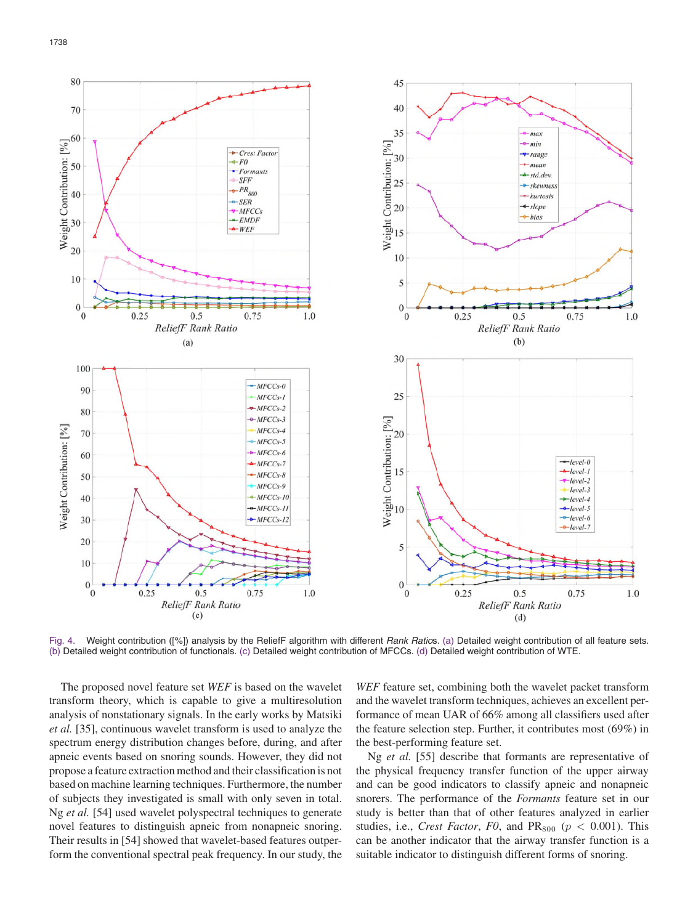

Fig. 4. Weight contribution ([%]) analysis by the ReliefF algorithm with different *Rank Ratio*s. (a) Detailed weight contribution of all feature sets. (b) Detailed weight contribution of functionals. (c) Detailed weight contribution of MFCCs. (d) Detailed weight contribution of WTE.

The proposed novel feature set *WEF* is based on the wavelet transform theory, which is capable to give a multiresolution analysis of nonstationary signals. In the early works by Matsiki *et al.* [35], continuous wavelet transform is used to analyze the spectrum energy distribution changes before, during, and after apneic events based on snoring sounds. However, they did not propose a feature extraction method and their classification is not based on machine learning techniques. Furthermore, the number of subjects they investigated is small with only seven in total. Ng *et al.* [54] used wavelet polyspectral techniques to generate novel features to distinguish apneic from nonapneic snoring. Their results in [54] showed that wavelet-based features outperform the conventional spectral peak frequency. In our study, the

*WEF* feature set, combining both the wavelet packet transform and the wavelet transform techniques, achieves an excellent performance of mean UAR of 66% among all classifiers used after the feature selection step. Further, it contributes most (69%) in the best-performing feature set.

Ng *et al.* [55] describe that formants are representative of the physical frequency transfer function of the upper airway and can be good indicators to classify apneic and nonapneic snorers. The performance of the *Formants* feature set in our study is better than that of other features analyzed in earlier studies, i.e., *Crest Factor*, *F0*, and  $PR_{800}$  ( $p < 0.001$ ). This can be another indicator that the airway transfer function is a suitable indicator to distinguish different forms of snoring.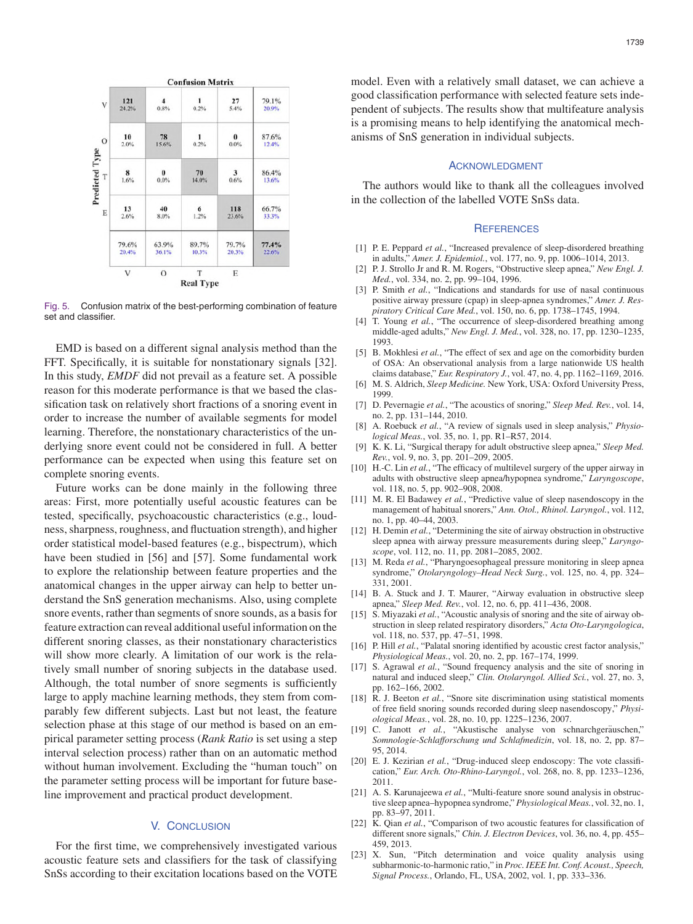

Fig. 5. Confusion matrix of the best-performing combination of feature set and classifier.

EMD is based on a different signal analysis method than the FFT. Specifically, it is suitable for nonstationary signals [32]. In this study, *EMDF* did not prevail as a feature set. A possible reason for this moderate performance is that we based the classification task on relatively short fractions of a snoring event in order to increase the number of available segments for model learning. Therefore, the nonstationary characteristics of the underlying snore event could not be considered in full. A better performance can be expected when using this feature set on complete snoring events.

Future works can be done mainly in the following three areas: First, more potentially useful acoustic features can be tested, specifically, psychoacoustic characteristics (e.g., loudness, sharpness, roughness, and fluctuation strength), and higher order statistical model-based features (e.g., bispectrum), which have been studied in [56] and [57]. Some fundamental work to explore the relationship between feature properties and the anatomical changes in the upper airway can help to better understand the SnS generation mechanisms. Also, using complete snore events, rather than segments of snore sounds, as a basis for feature extraction can reveal additional useful information on the different snoring classes, as their nonstationary characteristics will show more clearly. A limitation of our work is the relatively small number of snoring subjects in the database used. Although, the total number of snore segments is sufficiently large to apply machine learning methods, they stem from comparably few different subjects. Last but not least, the feature selection phase at this stage of our method is based on an empirical parameter setting process (*Rank Ratio* is set using a step interval selection process) rather than on an automatic method without human involvement. Excluding the "human touch" on the parameter setting process will be important for future baseline improvement and practical product development.

# V. CONCLUSION

For the first time, we comprehensively investigated various acoustic feature sets and classifiers for the task of classifying SnSs according to their excitation locations based on the VOTE model. Even with a relatively small dataset, we can achieve a good classification performance with selected feature sets independent of subjects. The results show that multifeature analysis is a promising means to help identifying the anatomical mechanisms of SnS generation in individual subjects.

### ACKNOWLEDGMENT

The authors would like to thank all the colleagues involved in the collection of the labelled VOTE SnSs data.

# **REFERENCES**

- [1] P. E. Peppard *et al.*, "Increased prevalence of sleep-disordered breathing in adults," *Amer. J. Epidemiol.*, vol. 177, no. 9, pp. 1006–1014, 2013.
- [2] P. J. Strollo Jr and R. M. Rogers, "Obstructive sleep apnea," *New Engl. J. Med.*, vol. 334, no. 2, pp. 99–104, 1996.
- [3] P. Smith *et al.*, "Indications and standards for use of nasal continuous positive airway pressure (cpap) in sleep-apnea syndromes," *Amer. J. Respiratory Critical Care Med.*, vol. 150, no. 6, pp. 1738–1745, 1994.
- [4] T. Young *et al.*, "The occurrence of sleep-disordered breathing among middle-aged adults," *New Engl. J. Med.*, vol. 328, no. 17, pp. 1230–1235, 1993.
- [5] B. Mokhlesi *et al.*, "The effect of sex and age on the comorbidity burden of OSA: An observational analysis from a large nationwide US health claims database," *Eur. Respiratory J.*, vol. 47, no. 4, pp. 1162–1169, 2016.
- [6] M. S. Aldrich, *Sleep Medicine.* New York, USA: Oxford University Press, 1999.
- [7] D. Pevernagie *et al.*, "The acoustics of snoring," *Sleep Med. Rev.*, vol. 14, no. 2, pp. 131–144, 2010.
- [8] A. Roebuck *et al.*, "A review of signals used in sleep analysis," *Physiological Meas.*, vol. 35, no. 1, pp. R1–R57, 2014.
- [9] K. K. Li, "Surgical therapy for adult obstructive sleep apnea," *Sleep Med. Rev.*, vol. 9, no. 3, pp. 201–209, 2005.
- [10] H.-C. Lin *et al.*, "The efficacy of multilevel surgery of the upper airway in adults with obstructive sleep apnea/hypopnea syndrome," *Laryngoscope*, vol. 118, no. 5, pp. 902–908, 2008.
- [11] M. R. El Badawey *et al.*, "Predictive value of sleep nasendoscopy in the management of habitual snorers," *Ann. Otol., Rhinol. Laryngol.*, vol. 112, no. 1, pp. 40–44, 2003.
- [12] H. Demin *et al.*, "Determining the site of airway obstruction in obstructive sleep apnea with airway pressure measurements during sleep," *Laryngoscope*, vol. 112, no. 11, pp. 2081–2085, 2002.
- [13] M. Reda *et al.*, "Pharyngoesophageal pressure monitoring in sleep apnea syndrome," *Otolaryngology–Head Neck Surg.*, vol. 125, no. 4, pp. 324– 331, 2001.
- [14] B. A. Stuck and J. T. Maurer, "Airway evaluation in obstructive sleep apnea," *Sleep Med. Rev.*, vol. 12, no. 6, pp. 411–436, 2008.
- [15] S. Miyazaki *et al.*, "Acoustic analysis of snoring and the site of airway obstruction in sleep related respiratory disorders," *Acta Oto-Laryngologica*, vol. 118, no. 537, pp. 47–51, 1998.
- [16] P. Hill *et al.*, "Palatal snoring identified by acoustic crest factor analysis," *Physiological Meas.*, vol. 20, no. 2, pp. 167–174, 1999.
- [17] S. Agrawal *et al.*, "Sound frequency analysis and the site of snoring in natural and induced sleep," *Clin. Otolaryngol. Allied Sci.*, vol. 27, no. 3, pp. 162–166, 2002.
- [18] R. J. Beeton *et al.*, "Snore site discrimination using statistical moments of free field snoring sounds recorded during sleep nasendoscopy," *Physiological Meas.*, vol. 28, no. 10, pp. 1225–1236, 2007.
- [19] C. Janott et al., "Akustische analyse von schnarchgeräuschen," *Somnologie-Schlafforschung und Schlafmedizin*, vol. 18, no. 2, pp. 87– 95, 2014.
- [20] E. J. Kezirian *et al.*, "Drug-induced sleep endoscopy: The vote classification," *Eur. Arch. Oto-Rhino-Laryngol.*, vol. 268, no. 8, pp. 1233–1236, 2011.
- [21] A. S. Karunajeewa *et al.*, "Multi-feature snore sound analysis in obstructive sleep apnea–hypopnea syndrome," *Physiological Meas.*, vol. 32, no. 1, pp. 83–97, 2011.
- [22] K. Qian *et al.*, "Comparison of two acoustic features for classification of different snore signals," *Chin. J. Electron Devices*, vol. 36, no. 4, pp. 455– 459, 2013.
- [23] X. Sun, "Pitch determination and voice quality analysis using subharmonic-to-harmonic ratio," in *Proc. IEEE Int. Conf. Acoust., Speech, Signal Process.*, Orlando, FL, USA, 2002, vol. 1, pp. 333–336.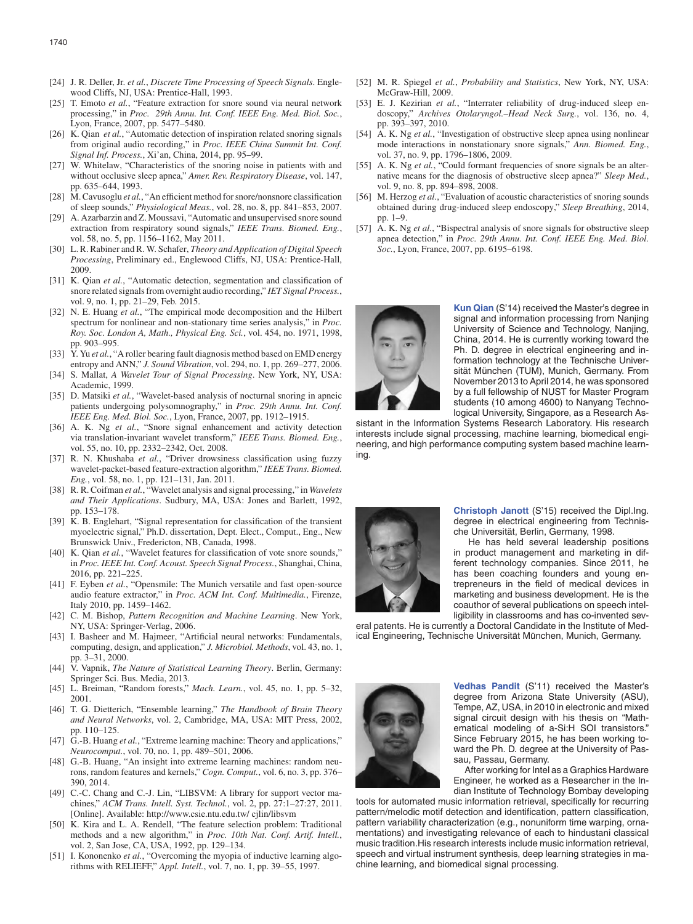- [24] J. R. Deller, Jr. *et al.*, *Discrete Time Processing of Speech Signals*. Englewood Cliffs, NJ, USA: Prentice-Hall, 1993.
- [25] T. Emoto *et al.*, "Feature extraction for snore sound via neural network processing," in *Proc. 29th Annu. Int. Conf. IEEE Eng. Med. Biol. Soc.*, Lyon, France, 2007, pp. 5477–5480.
- [26] K. Qian *et al.*, "Automatic detection of inspiration related snoring signals from original audio recording," in *Proc. IEEE China Summit Int. Conf. Signal Inf. Process.*, Xi'an, China, 2014, pp. 95–99.
- [27] W. Whitelaw, "Characteristics of the snoring noise in patients with and without occlusive sleep apnea," *Amer. Rev. Respiratory Disease*, vol. 147, pp. 635–644, 1993.
- [28] M. Cavusoglu *et al.*, "An efficient method for snore/nonsnore classification of sleep sounds," *Physiological Meas.*, vol. 28, no. 8, pp. 841–853, 2007.
- [29] A. Azarbarzin and Z. Moussavi, "Automatic and unsupervised snore sound extraction from respiratory sound signals," *IEEE Trans. Biomed. Eng.*, vol. 58, no. 5, pp. 1156–1162, May 2011.
- [30] L. R. Rabiner and R. W. Schafer, *Theory and Application of Digital Speech Processing*, Preliminary ed., Englewood Cliffs, NJ, USA: Prentice-Hall, 2009.
- [31] K. Qian *et al.*, "Automatic detection, segmentation and classification of snore related signals from overnight audio recording," *IET Signal Process.*, vol. 9, no. 1, pp. 21–29, Feb. 2015.
- [32] N. E. Huang *et al.*, "The empirical mode decomposition and the Hilbert spectrum for nonlinear and non-stationary time series analysis," in *Proc. Roy. Soc. London A, Math., Physical Eng. Sci.*, vol. 454, no. 1971, 1998, pp. 903–995.
- [33] Y. Yu *et al.*, "A roller bearing fault diagnosis method based on EMD energy entropy and ANN," *J. Sound Vibration*, vol. 294, no. 1, pp. 269–277, 2006.
- [34] S. Mallat, *A Wavelet Tour of Signal Processing*. New York, NY, USA: Academic, 1999.
- [35] D. Matsiki *et al.*, "Wavelet-based analysis of nocturnal snoring in apneic patients undergoing polysomnography," in *Proc. 29th Annu. Int. Conf. IEEE Eng. Med. Biol. Soc.*, Lyon, France, 2007, pp. 1912–1915.
- [36] A. K. Ng *et al.*, "Snore signal enhancement and activity detection via translation-invariant wavelet transform," *IEEE Trans. Biomed. Eng.*, vol. 55, no. 10, pp. 2332–2342, Oct. 2008.
- [37] R. N. Khushaba *et al.*, "Driver drowsiness classification using fuzzy wavelet-packet-based feature-extraction algorithm," *IEEE Trans. Biomed. Eng.*, vol. 58, no. 1, pp. 121–131, Jan. 2011.
- [38] R. R. Coifman *et al.*, "Wavelet analysis and signal processing," in *Wavelets and Their Applications*. Sudbury, MA, USA: Jones and Barlett, 1992, pp. 153–178.
- [39] K. B. Englehart, "Signal representation for classification of the transient myoelectric signal," Ph.D. dissertation, Dept. Elect., Comput., Eng., New Brunswick Univ., Fredericton, NB, Canada, 1998.
- [40] K. Qian et al., "Wavelet features for classification of vote snore sounds," in *Proc. IEEE Int. Conf. Acoust. Speech Signal Process.*, Shanghai, China, 2016, pp. 221–225.
- [41] F. Eyben *et al.*, "Opensmile: The Munich versatile and fast open-source audio feature extractor," in *Proc. ACM Int. Conf. Multimedia.*, Firenze, Italy 2010, pp. 1459–1462.
- [42] C. M. Bishop, *Pattern Recognition and Machine Learning*. New York, NY, USA: Springer-Verlag, 2006.
- [43] I. Basheer and M. Hajmeer, "Artificial neural networks: Fundamentals, computing, design, and application," *J. Microbiol. Methods*, vol. 43, no. 1, pp. 3–31, 2000.
- [44] V. Vapnik, *The Nature of Statistical Learning Theory*. Berlin, Germany: Springer Sci. Bus. Media, 2013.
- [45] L. Breiman, "Random forests," *Mach. Learn.*, vol. 45, no. 1, pp. 5–32, 2001.
- [46] T. G. Dietterich, "Ensemble learning," *The Handbook of Brain Theory and Neural Networks*, vol. 2, Cambridge, MA, USA: MIT Press, 2002, pp. 110–125.
- [47] G.-B. Huang *et al.*, "Extreme learning machine: Theory and applications," *Neurocomput.*, vol. 70, no. 1, pp. 489–501, 2006.
- [48] G.-B. Huang, "An insight into extreme learning machines: random neurons, random features and kernels," *Cogn. Comput.*, vol. 6, no. 3, pp. 376– 390, 2014.
- [49] C.-C. Chang and C.-J. Lin, "LIBSVM: A library for support vector machines," *ACM Trans. Intell. Syst. Technol.*, vol. 2, pp. 27:1–27:27, 2011. [Online]. Available: http://www.csie.ntu.edu.tw/ cjlin/libsvm
- [50] K. Kira and L. A. Rendell, "The feature selection problem: Traditional methods and a new algorithm," in *Proc. 10th Nat. Conf. Artif. Intell.*, vol. 2, San Jose, CA, USA, 1992, pp. 129–134.
- [51] I. Kononenko *et al.*, "Overcoming the myopia of inductive learning algorithms with RELIEFF," *Appl. Intell.*, vol. 7, no. 1, pp. 39–55, 1997.
- [52] M. R. Spiegel *et al.*, *Probability and Statistics*, New York, NY, USA: McGraw-Hill, 2009.
- [53] E. J. Kezirian *et al.*, "Interrater reliability of drug-induced sleep endoscopy," *Archives Otolaryngol.–Head Neck Surg.*, vol. 136, no. 4, pp. 393–397, 2010.
- [54] A. K. Ng *et al.*, "Investigation of obstructive sleep apnea using nonlinear mode interactions in nonstationary snore signals," *Ann. Biomed. Eng.*, vol. 37, no. 9, pp. 1796–1806, 2009.
- [55] A. K. Ng *et al.*, "Could formant frequencies of snore signals be an alternative means for the diagnosis of obstructive sleep apnea?" *Sleep Med.*, vol. 9, no. 8, pp. 894–898, 2008.
- [56] M. Herzog et al., "Evaluation of acoustic characteristics of snoring sounds obtained during drug-induced sleep endoscopy," *Sleep Breathing*, 2014, pp. 1–9.
- [57] A. K. Ng *et al.*, "Bispectral analysis of snore signals for obstructive sleep apnea detection," in *Proc. 29th Annu. Int. Conf. IEEE Eng. Med. Biol. Soc.*, Lyon, France, 2007, pp. 6195–6198.



**Kun Qian** (S'14) received the Master's degree in signal and information processing from Nanjing University of Science and Technology, Nanjing, China, 2014. He is currently working toward the Ph. D. degree in electrical engineering and information technology at the Technische Universität München (TUM), Munich, Germany. From November 2013 to April 2014, he was sponsored by a full fellowship of NUST for Master Program students (10 among 4600) to Nanyang Technological University, Singapore, as a Research As-

sistant in the Information Systems Research Laboratory. His research interests include signal processing, machine learning, biomedical engineering, and high performance computing system based machine learning.



**Christoph Janott** (S'15) received the Dipl.Ing. degree in electrical engineering from Technische Universität, Berlin, Germany, 1998.

He has held several leadership positions in product management and marketing in different technology companies. Since 2011, he has been coaching founders and young entrepreneurs in the field of medical devices in marketing and business development. He is the coauthor of several publications on speech intelligibility in classrooms and has co-invented sev-

eral patents. He is currently a Doctoral Candidate in the Institute of Medical Engineering, Technische Universität München, Munich, Germany.



**Vedhas Pandit** (S'11) received the Master's degree from Arizona State University (ASU), Tempe, AZ, USA, in 2010 in electronic and mixed signal circuit design with his thesis on "Mathematical modeling of a-Si:H SOI transistors." Since February 2015, he has been working toward the Ph. D. degree at the University of Passau, Passau, Germany.

After working for Intel as a Graphics Hardware Engineer, he worked as a Researcher in the Indian Institute of Technology Bombay developing

tools for automated music information retrieval, specifically for recurring pattern/melodic motif detection and identification, pattern classification, pattern variability characterization (e.g., nonuniform time warping, ornamentations) and investigating relevance of each to hindustani classical music tradition.His research interests include music information retrieval, speech and virtual instrument synthesis, deep learning strategies in machine learning, and biomedical signal processing.